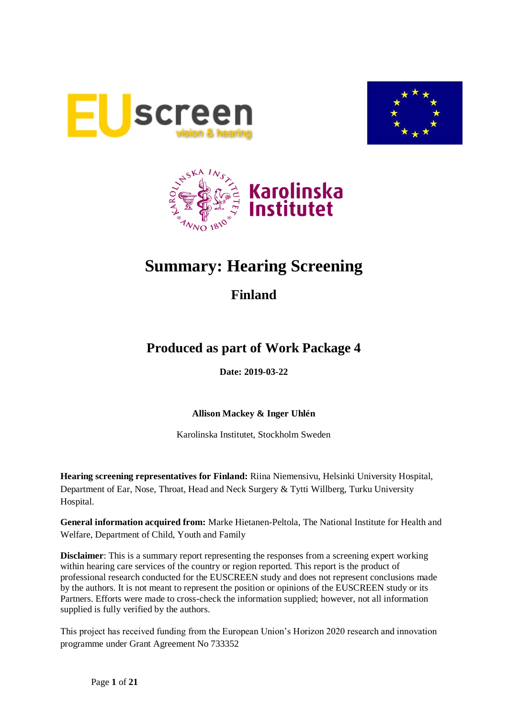





# **Summary: Hearing Screening**

## **Finland**

## **Produced as part of Work Package 4**

**Date: 2019-03-22**

**Allison Mackey & Inger Uhlén**

Karolinska Institutet, Stockholm Sweden

**Hearing screening representatives for Finland:** Riina Niemensivu, Helsinki University Hospital, Department of Ear, Nose, Throat, Head and Neck Surgery & Tytti Willberg, Turku University Hospital.

**General information acquired from:** Marke Hietanen-Peltola, The National Institute for Health and Welfare, Department of Child, Youth and Family

**Disclaimer**: This is a summary report representing the responses from a screening expert working within hearing care services of the country or region reported. This report is the product of professional research conducted for the EUSCREEN study and does not represent conclusions made by the authors. It is not meant to represent the position or opinions of the EUSCREEN study or its Partners. Efforts were made to cross-check the information supplied; however, not all information supplied is fully verified by the authors.

This project has received funding from the European Union's Horizon 2020 research and innovation programme under Grant Agreement No 733352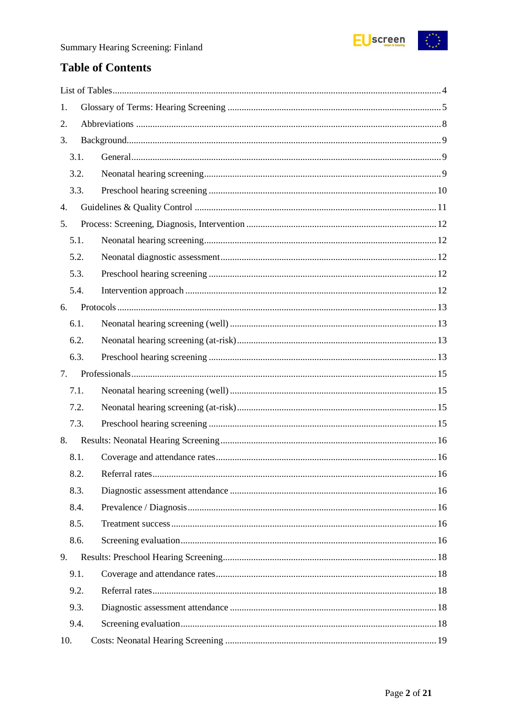

## **Table of Contents**

| 1.   |  |
|------|--|
| 2.   |  |
| 3.   |  |
| 3.1. |  |
| 3.2. |  |
| 3.3. |  |
| 4.   |  |
| 5.   |  |
| 5.1. |  |
| 5.2. |  |
| 5.3. |  |
| 5.4. |  |
| 6.   |  |
| 6.1. |  |
| 6.2. |  |
| 6.3. |  |
| 7.   |  |
| 7.1. |  |
| 7.2. |  |
| 7.3. |  |
| 8.   |  |
| 8.1. |  |
| 8.2. |  |
| 8.3. |  |
| 8.4. |  |
| 8.5. |  |
| 8.6. |  |
|      |  |
| 9.   |  |
| 9.1. |  |
| 9.2. |  |
| 9.3. |  |
| 9.4. |  |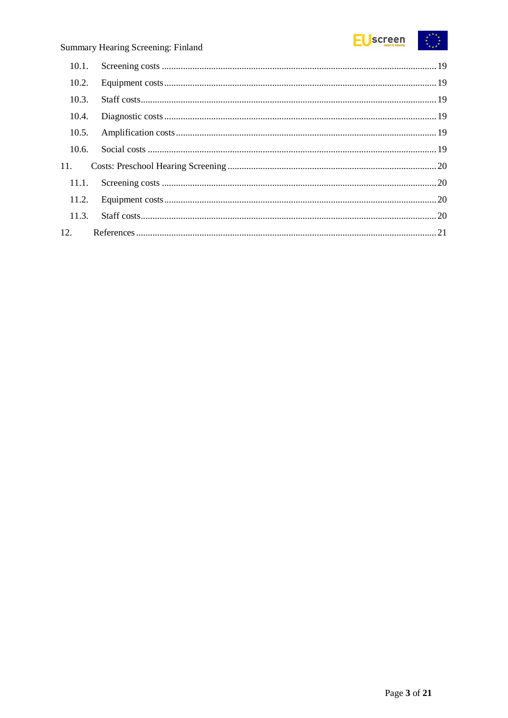

| 10.2. |  |
|-------|--|
| 10.3. |  |
| 10.4. |  |
| 10.5. |  |
| 10.6. |  |
| 11.   |  |
| 11.1. |  |
|       |  |
| 11.3. |  |
| 12.   |  |
|       |  |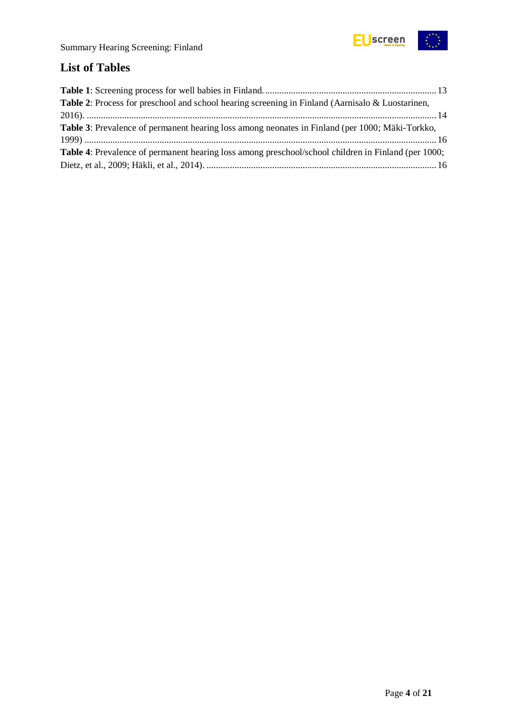

## <span id="page-3-0"></span>**List of Tables**

| Table 2: Process for preschool and school hearing screening in Finland (Aarnisalo & Luostarinen,           |  |
|------------------------------------------------------------------------------------------------------------|--|
|                                                                                                            |  |
| <b>Table 3:</b> Prevalence of permanent hearing loss among neonates in Finland (per 1000; Mäki-Torkko,     |  |
|                                                                                                            |  |
| <b>Table 4:</b> Prevalence of permanent hearing loss among preschool/school children in Finland (per 1000; |  |
|                                                                                                            |  |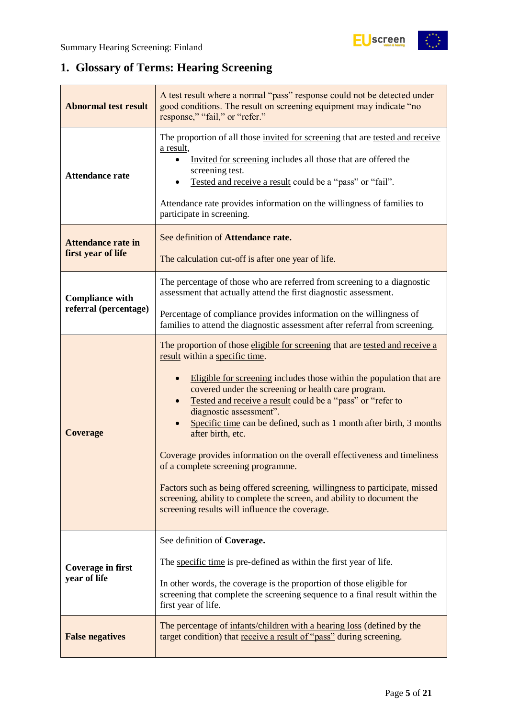## <span id="page-4-0"></span>**1. Glossary of Terms: Hearing Screening**

| A test result where a normal "pass" response could not be detected under<br><b>Abnormal test result</b><br>good conditions. The result on screening equipment may indicate "no<br>response," "fail," or "refer." |                                                                                                                                                                                                                                                                                                                                                                                                                                                                                                                                                                                                                                                                                                                                                                  |  |  |  |  |
|------------------------------------------------------------------------------------------------------------------------------------------------------------------------------------------------------------------|------------------------------------------------------------------------------------------------------------------------------------------------------------------------------------------------------------------------------------------------------------------------------------------------------------------------------------------------------------------------------------------------------------------------------------------------------------------------------------------------------------------------------------------------------------------------------------------------------------------------------------------------------------------------------------------------------------------------------------------------------------------|--|--|--|--|
| <b>Attendance rate</b>                                                                                                                                                                                           | The proportion of all those invited for screening that are tested and receive<br>a result,<br>Invited for screening includes all those that are offered the<br>screening test.<br>Tested and receive a result could be a "pass" or "fail".<br>Attendance rate provides information on the willingness of families to<br>participate in screening.                                                                                                                                                                                                                                                                                                                                                                                                                |  |  |  |  |
| <b>Attendance rate in</b><br>first year of life                                                                                                                                                                  | See definition of Attendance rate.<br>The calculation cut-off is after one year of life.                                                                                                                                                                                                                                                                                                                                                                                                                                                                                                                                                                                                                                                                         |  |  |  |  |
| <b>Compliance with</b>                                                                                                                                                                                           | The percentage of those who are referred from screening to a diagnostic<br>assessment that actually attend the first diagnostic assessment.                                                                                                                                                                                                                                                                                                                                                                                                                                                                                                                                                                                                                      |  |  |  |  |
| referral (percentage)                                                                                                                                                                                            | Percentage of compliance provides information on the willingness of<br>families to attend the diagnostic assessment after referral from screening.                                                                                                                                                                                                                                                                                                                                                                                                                                                                                                                                                                                                               |  |  |  |  |
| <b>Coverage</b>                                                                                                                                                                                                  | The proportion of those eligible for screening that are tested and receive a<br>result within a specific time.<br>Eligible for screening includes those within the population that are<br>covered under the screening or health care program.<br>Tested and receive a result could be a "pass" or "refer to<br>diagnostic assessment".<br>Specific time can be defined, such as 1 month after birth, 3 months<br>after birth, etc.<br>Coverage provides information on the overall effectiveness and timeliness<br>of a complete screening programme.<br>Factors such as being offered screening, willingness to participate, missed<br>screening, ability to complete the screen, and ability to document the<br>screening results will influence the coverage. |  |  |  |  |
| <b>Coverage in first</b><br>year of life                                                                                                                                                                         | See definition of Coverage.<br>The specific time is pre-defined as within the first year of life.<br>In other words, the coverage is the proportion of those eligible for<br>screening that complete the screening sequence to a final result within the<br>first year of life.                                                                                                                                                                                                                                                                                                                                                                                                                                                                                  |  |  |  |  |
| The percentage of infants/children with a hearing loss (defined by the<br>target condition) that receive a result of "pass" during screening.<br><b>False negatives</b>                                          |                                                                                                                                                                                                                                                                                                                                                                                                                                                                                                                                                                                                                                                                                                                                                                  |  |  |  |  |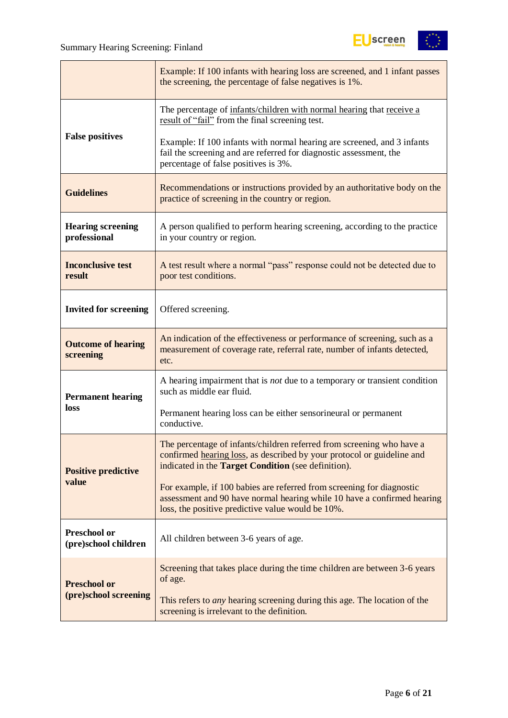

|                                                                                                                                                  | Example: If 100 infants with hearing loss are screened, and 1 infant passes<br>the screening, the percentage of false negatives is 1%.                                                                 |  |  |  |  |
|--------------------------------------------------------------------------------------------------------------------------------------------------|--------------------------------------------------------------------------------------------------------------------------------------------------------------------------------------------------------|--|--|--|--|
|                                                                                                                                                  | The percentage of infants/children with normal hearing that receive a<br>result of "fail" from the final screening test.                                                                               |  |  |  |  |
| <b>False positives</b>                                                                                                                           | Example: If 100 infants with normal hearing are screened, and 3 infants<br>fail the screening and are referred for diagnostic assessment, the<br>percentage of false positives is 3%.                  |  |  |  |  |
| Recommendations or instructions provided by an authoritative body on the<br><b>Guidelines</b><br>practice of screening in the country or region. |                                                                                                                                                                                                        |  |  |  |  |
| <b>Hearing screening</b><br>professional                                                                                                         | A person qualified to perform hearing screening, according to the practice<br>in your country or region.                                                                                               |  |  |  |  |
| <b>Inconclusive test</b><br>result                                                                                                               | A test result where a normal "pass" response could not be detected due to<br>poor test conditions.                                                                                                     |  |  |  |  |
| <b>Invited for screening</b>                                                                                                                     | Offered screening.                                                                                                                                                                                     |  |  |  |  |
| <b>Outcome of hearing</b><br>screening                                                                                                           | An indication of the effectiveness or performance of screening, such as a<br>measurement of coverage rate, referral rate, number of infants detected,<br>etc.                                          |  |  |  |  |
| <b>Permanent hearing</b>                                                                                                                         | A hearing impairment that is <i>not</i> due to a temporary or transient condition<br>such as middle ear fluid.                                                                                         |  |  |  |  |
| loss                                                                                                                                             | Permanent hearing loss can be either sensorineural or permanent<br>conductive.                                                                                                                         |  |  |  |  |
| <b>Positive predictive</b>                                                                                                                       | The percentage of infants/children referred from screening who have a<br>confirmed hearing loss, as described by your protocol or guideline and<br>indicated in the Target Condition (see definition). |  |  |  |  |
| value                                                                                                                                            | For example, if 100 babies are referred from screening for diagnostic<br>assessment and 90 have normal hearing while 10 have a confirmed hearing<br>loss, the positive predictive value would be 10%.  |  |  |  |  |
| Preschool or<br>(pre)school children                                                                                                             | All children between 3-6 years of age.                                                                                                                                                                 |  |  |  |  |
| <b>Preschool or</b>                                                                                                                              | Screening that takes place during the time children are between 3-6 years<br>of age.                                                                                                                   |  |  |  |  |
| (pre)school screening                                                                                                                            | This refers to <i>any</i> hearing screening during this age. The location of the<br>screening is irrelevant to the definition.                                                                         |  |  |  |  |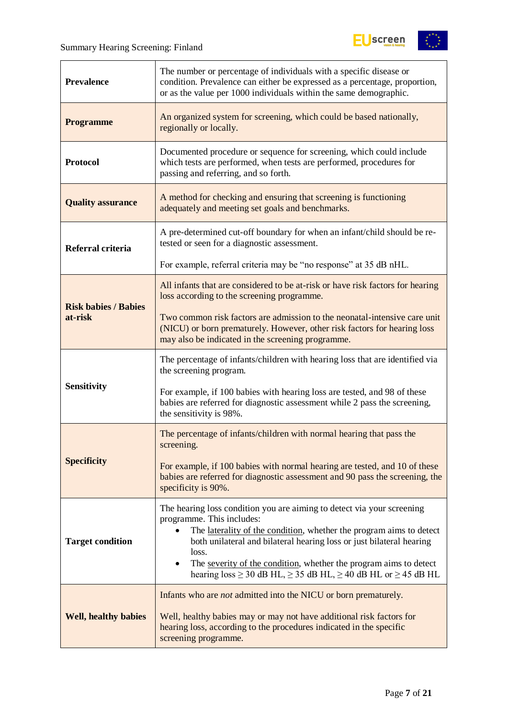$\mathbf{r}$ 



| <b>Prevalence</b>           | The number or percentage of individuals with a specific disease or<br>condition. Prevalence can either be expressed as a percentage, proportion,<br>or as the value per 1000 individuals within the same demographic.                                                                                                                                                                                                                       |  |  |  |  |
|-----------------------------|---------------------------------------------------------------------------------------------------------------------------------------------------------------------------------------------------------------------------------------------------------------------------------------------------------------------------------------------------------------------------------------------------------------------------------------------|--|--|--|--|
| <b>Programme</b>            | An organized system for screening, which could be based nationally,<br>regionally or locally.                                                                                                                                                                                                                                                                                                                                               |  |  |  |  |
| <b>Protocol</b>             | Documented procedure or sequence for screening, which could include<br>which tests are performed, when tests are performed, procedures for<br>passing and referring, and so forth.                                                                                                                                                                                                                                                          |  |  |  |  |
| <b>Quality assurance</b>    | A method for checking and ensuring that screening is functioning<br>adequately and meeting set goals and benchmarks.                                                                                                                                                                                                                                                                                                                        |  |  |  |  |
| Referral criteria           | A pre-determined cut-off boundary for when an infant/child should be re-<br>tested or seen for a diagnostic assessment.                                                                                                                                                                                                                                                                                                                     |  |  |  |  |
|                             | For example, referral criteria may be "no response" at 35 dB nHL.                                                                                                                                                                                                                                                                                                                                                                           |  |  |  |  |
| <b>Risk babies / Babies</b> | All infants that are considered to be at-risk or have risk factors for hearing<br>loss according to the screening programme.                                                                                                                                                                                                                                                                                                                |  |  |  |  |
| at-risk                     | Two common risk factors are admission to the neonatal-intensive care unit<br>(NICU) or born prematurely. However, other risk factors for hearing loss<br>may also be indicated in the screening programme.                                                                                                                                                                                                                                  |  |  |  |  |
|                             | The percentage of infants/children with hearing loss that are identified via<br>the screening program.                                                                                                                                                                                                                                                                                                                                      |  |  |  |  |
| <b>Sensitivity</b>          | For example, if 100 babies with hearing loss are tested, and 98 of these<br>babies are referred for diagnostic assessment while 2 pass the screening,<br>the sensitivity is 98%.                                                                                                                                                                                                                                                            |  |  |  |  |
|                             | The percentage of infants/children with normal hearing that pass the<br>screening.                                                                                                                                                                                                                                                                                                                                                          |  |  |  |  |
| <b>Specificity</b>          | For example, if 100 babies with normal hearing are tested, and 10 of these<br>babies are referred for diagnostic assessment and 90 pass the screening, the<br>specificity is 90%.                                                                                                                                                                                                                                                           |  |  |  |  |
| <b>Target condition</b>     | The hearing loss condition you are aiming to detect via your screening<br>programme. This includes:<br>The laterality of the condition, whether the program aims to detect<br>$\bullet$<br>both unilateral and bilateral hearing loss or just bilateral hearing<br>loss.<br>The severity of the condition, whether the program aims to detect<br>$\bullet$<br>hearing $loss \ge 30$ dB HL, $\ge 35$ dB HL, $\ge 40$ dB HL or $\ge 45$ dB HL |  |  |  |  |
| <b>Well, healthy babies</b> | Infants who are <i>not</i> admitted into the NICU or born prematurely.<br>Well, healthy babies may or may not have additional risk factors for<br>hearing loss, according to the procedures indicated in the specific<br>screening programme.                                                                                                                                                                                               |  |  |  |  |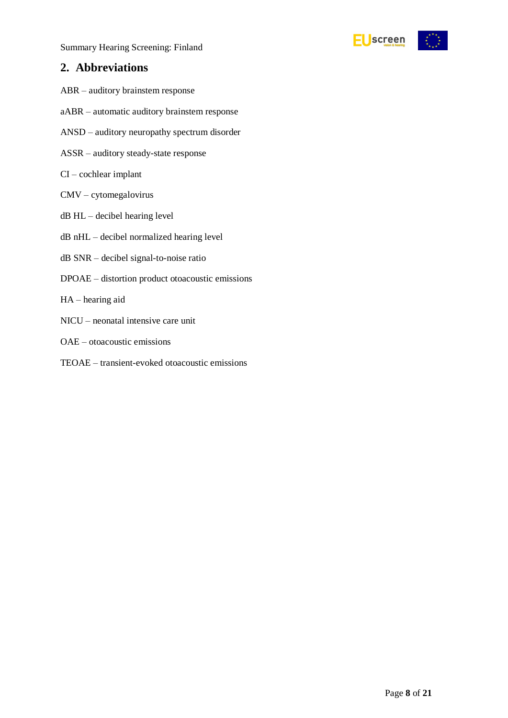### <span id="page-7-0"></span>**2. Abbreviations**

- ABR auditory brainstem response
- aABR automatic auditory brainstem response
- ANSD auditory neuropathy spectrum disorder
- ASSR auditory steady-state response
- CI cochlear implant
- CMV cytomegalovirus
- dB HL decibel hearing level
- dB nHL decibel normalized hearing level
- dB SNR decibel signal-to-noise ratio
- DPOAE distortion product otoacoustic emissions
- HA hearing aid
- NICU neonatal intensive care unit
- OAE otoacoustic emissions
- TEOAE transient-evoked otoacoustic emissions

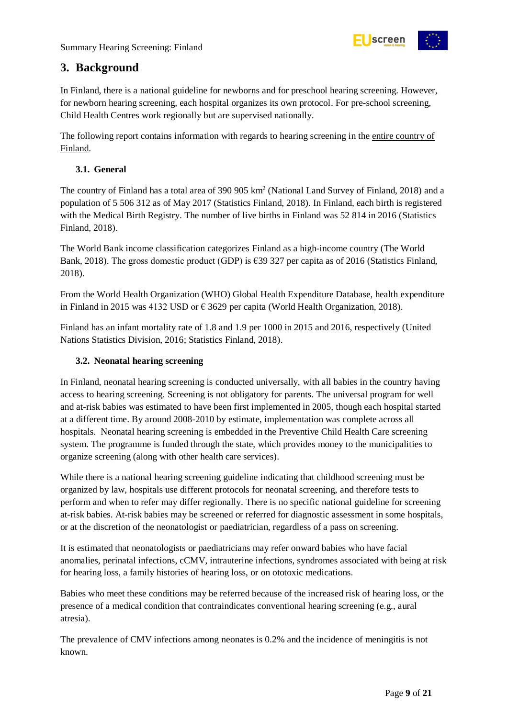

### <span id="page-8-0"></span>**3. Background**

In Finland, there is a national guideline for newborns and for preschool hearing screening. However, for newborn hearing screening, each hospital organizes its own protocol. For pre-school screening, Child Health Centres work regionally but are supervised nationally.

The following report contains information with regards to hearing screening in the entire country of Finland.

#### <span id="page-8-1"></span>**3.1. General**

The country of Finland has a total area of 390 905 km<sup>2</sup> (National Land Survey of Finland, 2018) and a population of 5 506 312 as of May 2017 (Statistics Finland, 2018). In Finland, each birth is registered with the Medical Birth Registry. The number of live births in Finland was 52 814 in 2016 (Statistics Finland, 2018).

The World Bank income classification categorizes Finland as a high-income country (The World Bank, 2018). The gross domestic product (GDP) is €39 327 per capita as of 2016 (Statistics Finland, 2018).

From the World Health Organization (WHO) Global Health Expenditure Database, health expenditure in Finland in 2015 was 4132 USD or  $\epsilon$  3629 per capita (World Health Organization, 2018).

Finland has an infant mortality rate of 1.8 and 1.9 per 1000 in 2015 and 2016, respectively (United Nations Statistics Division, 2016; Statistics Finland, 2018).

#### <span id="page-8-2"></span>**3.2. Neonatal hearing screening**

In Finland, neonatal hearing screening is conducted universally, with all babies in the country having access to hearing screening. Screening is not obligatory for parents. The universal program for well and at-risk babies was estimated to have been first implemented in 2005, though each hospital started at a different time. By around 2008-2010 by estimate, implementation was complete across all hospitals. Neonatal hearing screening is embedded in the Preventive Child Health Care screening system. The programme is funded through the state, which provides money to the municipalities to organize screening (along with other health care services).

While there is a national hearing screening guideline indicating that childhood screening must be organized by law, hospitals use different protocols for neonatal screening, and therefore tests to perform and when to refer may differ regionally. There is no specific national guideline for screening at-risk babies. At-risk babies may be screened or referred for diagnostic assessment in some hospitals, or at the discretion of the neonatologist or paediatrician, regardless of a pass on screening.

It is estimated that neonatologists or paediatricians may refer onward babies who have facial anomalies, perinatal infections, cCMV, intrauterine infections, syndromes associated with being at risk for hearing loss, a family histories of hearing loss, or on ototoxic medications.

Babies who meet these conditions may be referred because of the increased risk of hearing loss, or the presence of a medical condition that contraindicates conventional hearing screening (e.g., aural atresia).

The prevalence of CMV infections among neonates is 0.2% and the incidence of meningitis is not known.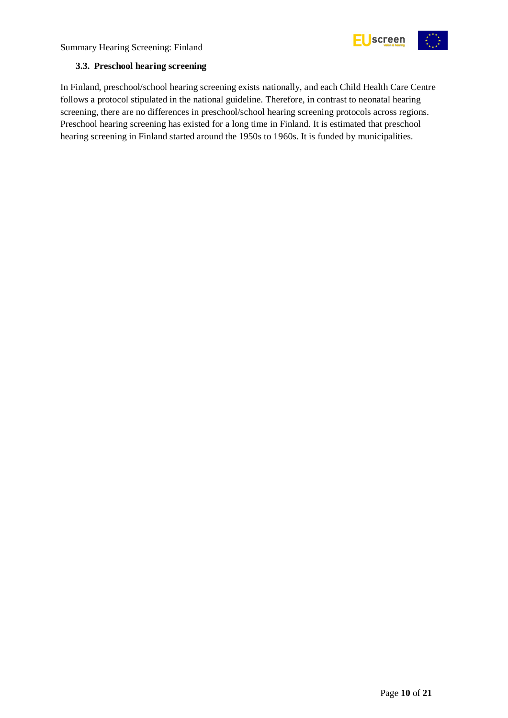



#### <span id="page-9-0"></span>**3.3. Preschool hearing screening**

In Finland, preschool/school hearing screening exists nationally, and each Child Health Care Centre follows a protocol stipulated in the national guideline. Therefore, in contrast to neonatal hearing screening, there are no differences in preschool/school hearing screening protocols across regions. Preschool hearing screening has existed for a long time in Finland. It is estimated that preschool hearing screening in Finland started around the 1950s to 1960s. It is funded by municipalities.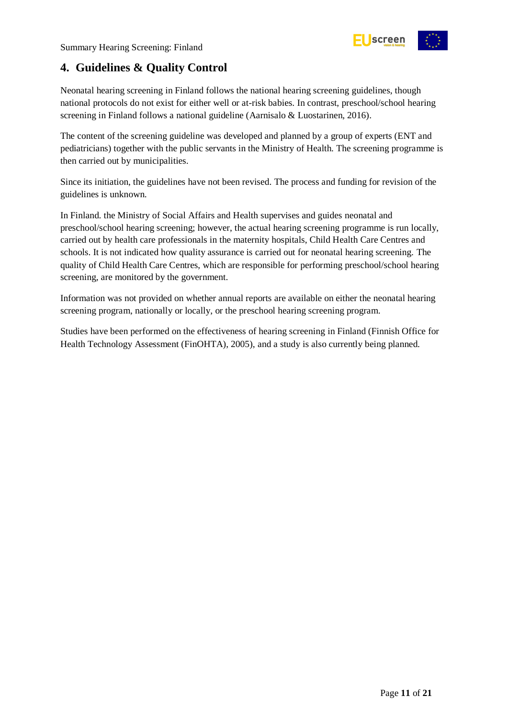

## <span id="page-10-0"></span>**4. Guidelines & Quality Control**

Neonatal hearing screening in Finland follows the national hearing screening guidelines, though national protocols do not exist for either well or at-risk babies. In contrast, preschool/school hearing screening in Finland follows a national guideline (Aarnisalo & Luostarinen, 2016).

The content of the screening guideline was developed and planned by a group of experts (ENT and pediatricians) together with the public servants in the Ministry of Health. The screening programme is then carried out by municipalities.

Since its initiation, the guidelines have not been revised. The process and funding for revision of the guidelines is unknown.

In Finland. the Ministry of Social Affairs and Health supervises and guides neonatal and preschool/school hearing screening; however, the actual hearing screening programme is run locally, carried out by health care professionals in the maternity hospitals, Child Health Care Centres and schools. It is not indicated how quality assurance is carried out for neonatal hearing screening. The quality of Child Health Care Centres, which are responsible for performing preschool/school hearing screening, are monitored by the government.

Information was not provided on whether annual reports are available on either the neonatal hearing screening program, nationally or locally, or the preschool hearing screening program.

Studies have been performed on the effectiveness of hearing screening in Finland (Finnish Office for Health Technology Assessment (FinOHTA), 2005), and a study is also currently being planned.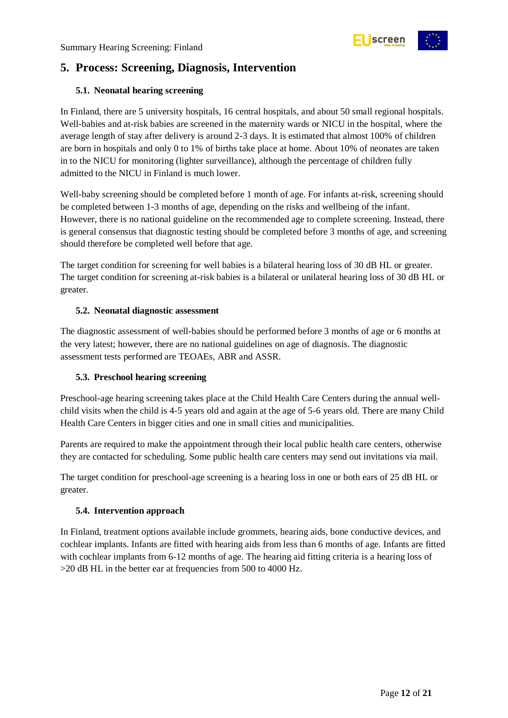

## <span id="page-11-0"></span>**5. Process: Screening, Diagnosis, Intervention**

#### <span id="page-11-1"></span>**5.1. Neonatal hearing screening**

In Finland, there are 5 university hospitals, 16 central hospitals, and about 50 small regional hospitals. Well-babies and at-risk babies are screened in the maternity wards or NICU in the hospital, where the average length of stay after delivery is around 2-3 days. It is estimated that almost 100% of children are born in hospitals and only 0 to 1% of births take place at home. About 10% of neonates are taken in to the NICU for monitoring (lighter surveillance), although the percentage of children fully admitted to the NICU in Finland is much lower.

Well-baby screening should be completed before 1 month of age. For infants at-risk, screening should be completed between 1-3 months of age, depending on the risks and wellbeing of the infant. However, there is no national guideline on the recommended age to complete screening. Instead, there is general consensus that diagnostic testing should be completed before 3 months of age, and screening should therefore be completed well before that age.

The target condition for screening for well babies is a bilateral hearing loss of 30 dB HL or greater. The target condition for screening at-risk babies is a bilateral or unilateral hearing loss of 30 dB HL or greater.

#### <span id="page-11-2"></span>**5.2. Neonatal diagnostic assessment**

The diagnostic assessment of well-babies should be performed before 3 months of age or 6 months at the very latest; however, there are no national guidelines on age of diagnosis. The diagnostic assessment tests performed are TEOAEs, ABR and ASSR.

#### <span id="page-11-3"></span>**5.3. Preschool hearing screening**

Preschool-age hearing screening takes place at the Child Health Care Centers during the annual wellchild visits when the child is 4-5 years old and again at the age of 5-6 years old. There are many Child Health Care Centers in bigger cities and one in small cities and municipalities.

Parents are required to make the appointment through their local public health care centers, otherwise they are contacted for scheduling. Some public health care centers may send out invitations via mail.

The target condition for preschool-age screening is a hearing loss in one or both ears of 25 dB HL or greater.

#### <span id="page-11-4"></span>**5.4. Intervention approach**

In Finland, treatment options available include grommets, hearing aids, bone conductive devices, and cochlear implants. Infants are fitted with hearing aids from less than 6 months of age. Infants are fitted with cochlear implants from 6-12 months of age. The hearing aid fitting criteria is a hearing loss of >20 dB HL in the better ear at frequencies from 500 to 4000 Hz.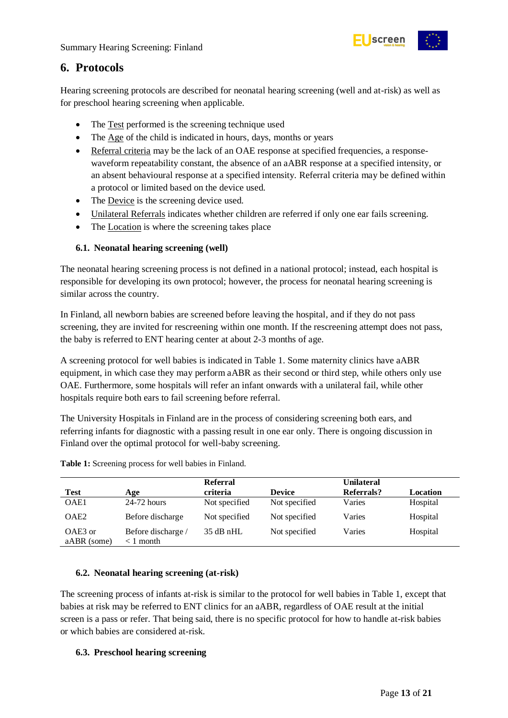

### <span id="page-12-0"></span>**6. Protocols**

Hearing screening protocols are described for neonatal hearing screening (well and at-risk) as well as for preschool hearing screening when applicable.

- The Test performed is the screening technique used
- The Age of the child is indicated in hours, days, months or years
- Referral criteria may be the lack of an OAE response at specified frequencies, a responsewaveform repeatability constant, the absence of an aABR response at a specified intensity, or an absent behavioural response at a specified intensity. Referral criteria may be defined within a protocol or limited based on the device used.
- The Device is the screening device used.
- Unilateral Referrals indicates whether children are referred if only one ear fails screening.
- The Location is where the screening takes place

#### <span id="page-12-1"></span>**6.1. Neonatal hearing screening (well)**

The neonatal hearing screening process is not defined in a national protocol; instead, each hospital is responsible for developing its own protocol; however, the process for neonatal hearing screening is similar across the country.

In Finland, all newborn babies are screened before leaving the hospital, and if they do not pass screening, they are invited for rescreening within one month. If the rescreening attempt does not pass, the baby is referred to ENT hearing center at about 2-3 months of age.

A screening protocol for well babies is indicated in [Table 1.](#page-12-4) Some maternity clinics have aABR equipment, in which case they may perform aABR as their second or third step, while others only use OAE. Furthermore, some hospitals will refer an infant onwards with a unilateral fail, while other hospitals require both ears to fail screening before referral.

The University Hospitals in Finland are in the process of considering screening both ears, and referring infants for diagnostic with a passing result in one ear only. There is ongoing discussion in Finland over the optimal protocol for well-baby screening.

|                        |                                   | <b>Referral</b> |               | <b>Unilateral</b> |          |
|------------------------|-----------------------------------|-----------------|---------------|-------------------|----------|
| <b>Test</b>            | Age                               | criteria        | <b>Device</b> | Referrals?        | Location |
| OAE1                   | $24-72$ hours                     | Not specified   | Not specified | Varies            | Hospital |
| OAE <sub>2</sub>       | Before discharge                  | Not specified   | Not specified | Varies            | Hospital |
| OAE3 or<br>aABR (some) | Before discharge /<br>$< 1$ month | $35$ dB nHL     | Not specified | Varies            | Hospital |

<span id="page-12-4"></span>**Table 1:** Screening process for well babies in Finland.

#### <span id="page-12-2"></span>**6.2. Neonatal hearing screening (at-risk)**

The screening process of infants at-risk is similar to the protocol for well babies in Table 1, except that babies at risk may be referred to ENT clinics for an aABR, regardless of OAE result at the initial screen is a pass or refer. That being said, there is no specific protocol for how to handle at-risk babies or which babies are considered at-risk.

#### <span id="page-12-3"></span>**6.3. Preschool hearing screening**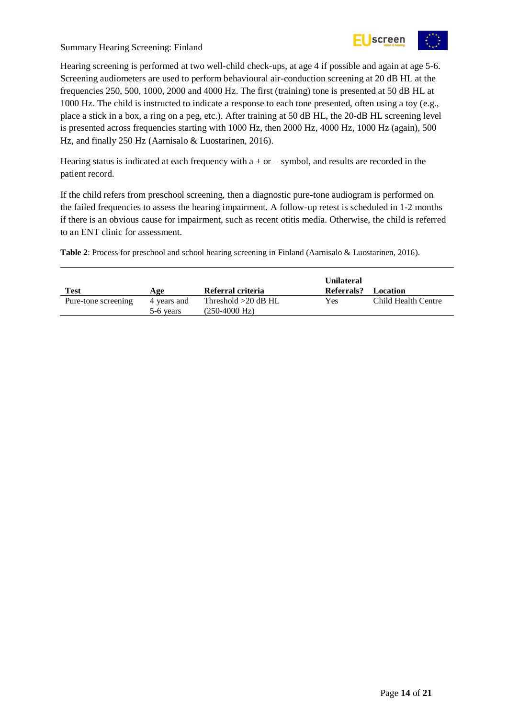

Hearing screening is performed at two well-child check-ups, at age 4 if possible and again at age 5-6. Screening audiometers are used to perform behavioural air-conduction screening at 20 dB HL at the frequencies 250, 500, 1000, 2000 and 4000 Hz. The first (training) tone is presented at 50 dB HL at 1000 Hz. The child is instructed to indicate a response to each tone presented, often using a toy (e.g., place a stick in a box, a ring on a peg, etc.). After training at 50 dB HL, the 20-dB HL screening level is presented across frequencies starting with 1000 Hz, then 2000 Hz, 4000 Hz, 1000 Hz (again), 500 Hz, and finally 250 Hz (Aarnisalo & Luostarinen, 2016).

Hearing status is indicated at each frequency with  $a + or -$  symbol, and results are recorded in the patient record.

If the child refers from preschool screening, then a diagnostic pure-tone audiogram is performed on the failed frequencies to assess the hearing impairment. A follow-up retest is scheduled in 1-2 months if there is an obvious cause for impairment, such as recent otitis media. Otherwise, the child is referred to an ENT clinic for assessment.

<span id="page-13-0"></span>**Table 2**: Process for preschool and school hearing screening in Finland (Aarnisalo & Luostarinen, 2016).

| Test                | Age                      | Referral criteria                      | <b>Unilateral</b><br>Referrals? | Location            |
|---------------------|--------------------------|----------------------------------------|---------------------------------|---------------------|
| Pure-tone screening | 4 years and<br>5-6 years | Threshold $>20$ dB HL<br>(250-4000 Hz) | Yes                             | Child Health Centre |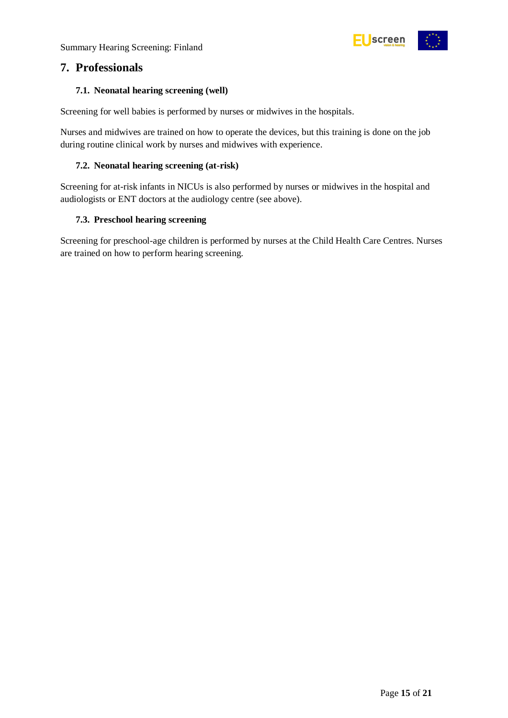

### <span id="page-14-0"></span>**7. Professionals**

#### <span id="page-14-1"></span>**7.1. Neonatal hearing screening (well)**

Screening for well babies is performed by nurses or midwives in the hospitals.

Nurses and midwives are trained on how to operate the devices, but this training is done on the job during routine clinical work by nurses and midwives with experience.

#### <span id="page-14-2"></span>**7.2. Neonatal hearing screening (at-risk)**

Screening for at-risk infants in NICUs is also performed by nurses or midwives in the hospital and audiologists or ENT doctors at the audiology centre (see above).

#### <span id="page-14-3"></span>**7.3. Preschool hearing screening**

Screening for preschool-age children is performed by nurses at the Child Health Care Centres. Nurses are trained on how to perform hearing screening.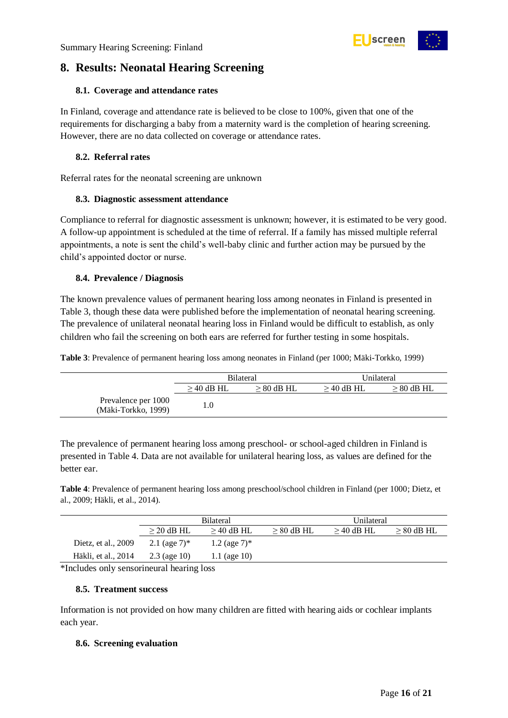

## <span id="page-15-0"></span>**8. Results: Neonatal Hearing Screening**

#### <span id="page-15-1"></span>**8.1. Coverage and attendance rates**

In Finland, coverage and attendance rate is believed to be close to 100%, given that one of the requirements for discharging a baby from a maternity ward is the completion of hearing screening. However, there are no data collected on coverage or attendance rates.

#### <span id="page-15-2"></span>**8.2. Referral rates**

Referral rates for the neonatal screening are unknown

#### <span id="page-15-3"></span>**8.3. Diagnostic assessment attendance**

Compliance to referral for diagnostic assessment is unknown; however, it is estimated to be very good. A follow-up appointment is scheduled at the time of referral. If a family has missed multiple referral appointments, a note is sent the child's well-baby clinic and further action may be pursued by the child's appointed doctor or nurse.

#### <span id="page-15-4"></span>**8.4. Prevalence / Diagnosis**

The known prevalence values of permanent hearing loss among neonates in Finland is presented in [Table 3,](#page-15-7) though these data were published before the implementation of neonatal hearing screening. The prevalence of unilateral neonatal hearing loss in Finland would be difficult to establish, as only children who fail the screening on both ears are referred for further testing in some hospitals.

<span id="page-15-7"></span>**Table 3**: Prevalence of permanent hearing loss among neonates in Finland (per 1000; Mäki-Torkko, 1999)

|                                            | <b>Bilateral</b> |                 | Unilateral   |                 |
|--------------------------------------------|------------------|-----------------|--------------|-----------------|
|                                            | $>$ 40 dB HL     | $\geq 80$ dB HL | $>$ 40 dB HL | $\geq 80$ dB HL |
| Prevalence per 1000<br>(Mäki-Torkko, 1999) | 1.0              |                 |              |                 |

The prevalence of permanent hearing loss among preschool- or school-aged children in Finland is presented in Table 4. Data are not available for unilateral hearing loss, as values are defined for the better ear.

<span id="page-15-8"></span>**Table 4**: Prevalence of permanent hearing loss among preschool/school children in Finland (per 1000; Dietz, et al., 2009; Häkli, et al., 2014).

|                     | <b>Bilateral</b> |                   |              | Unilateral   |                 |  |
|---------------------|------------------|-------------------|--------------|--------------|-----------------|--|
|                     | $>$ 20 dB HL     | $>$ 40 dB HL      | $> 80$ dB HL | $>$ 40 dB HL | $\geq 80$ dB HL |  |
| Dietz, et al., 2009 | 2.1 (age $7$ )*  | $1.2$ (age $7$ )* |              |              |                 |  |
| Häkli, et al., 2014 | $2.3$ (age 10)   | 1.1 (age $10$ )   |              |              |                 |  |

\*Includes only sensorineural hearing loss

#### <span id="page-15-5"></span>**8.5. Treatment success**

Information is not provided on how many children are fitted with hearing aids or cochlear implants each year.

#### <span id="page-15-6"></span>**8.6. Screening evaluation**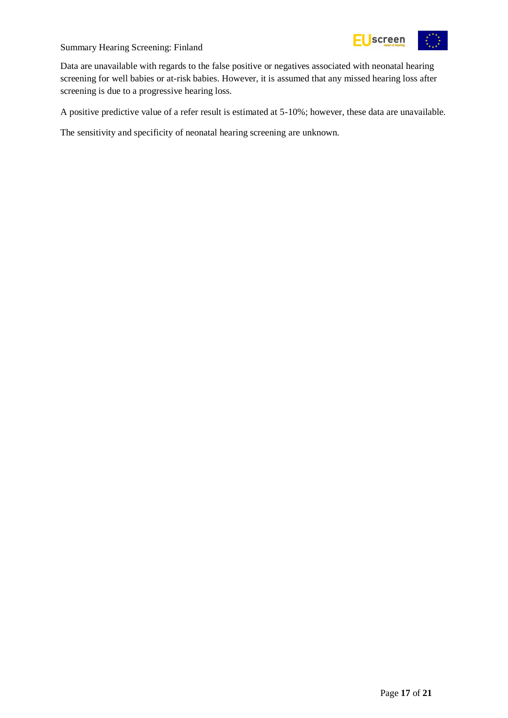

Data are unavailable with regards to the false positive or negatives associated with neonatal hearing screening for well babies or at-risk babies. However, it is assumed that any missed hearing loss after screening is due to a progressive hearing loss.

A positive predictive value of a refer result is estimated at 5-10%; however, these data are unavailable.

The sensitivity and specificity of neonatal hearing screening are unknown.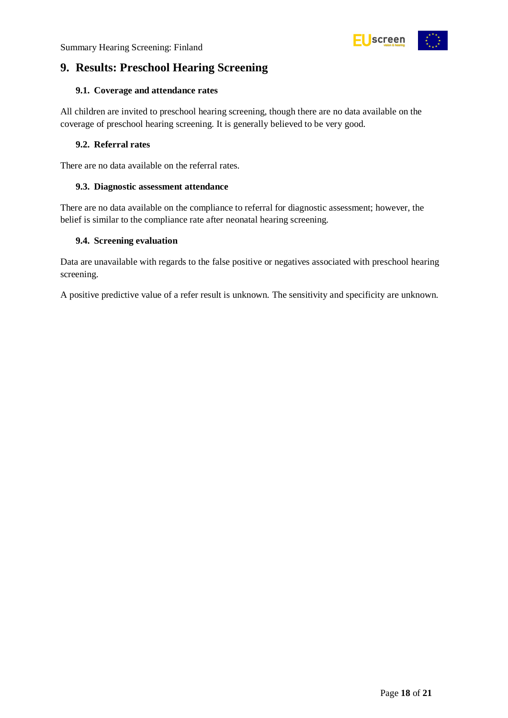

## <span id="page-17-0"></span>**9. Results: Preschool Hearing Screening**

#### <span id="page-17-1"></span>**9.1. Coverage and attendance rates**

All children are invited to preschool hearing screening, though there are no data available on the coverage of preschool hearing screening. It is generally believed to be very good.

#### <span id="page-17-2"></span>**9.2. Referral rates**

There are no data available on the referral rates.

#### <span id="page-17-3"></span>**9.3. Diagnostic assessment attendance**

There are no data available on the compliance to referral for diagnostic assessment; however, the belief is similar to the compliance rate after neonatal hearing screening.

#### <span id="page-17-4"></span>**9.4. Screening evaluation**

Data are unavailable with regards to the false positive or negatives associated with preschool hearing screening.

A positive predictive value of a refer result is unknown. The sensitivity and specificity are unknown.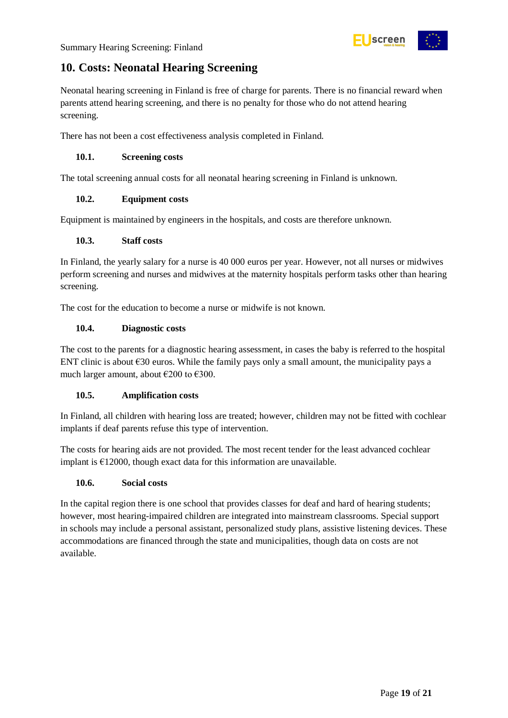## <span id="page-18-0"></span>**10. Costs: Neonatal Hearing Screening**

Neonatal hearing screening in Finland is free of charge for parents. There is no financial reward when parents attend hearing screening, and there is no penalty for those who do not attend hearing screening.

There has not been a cost effectiveness analysis completed in Finland.

#### <span id="page-18-1"></span>**10.1. Screening costs**

The total screening annual costs for all neonatal hearing screening in Finland is unknown.

#### <span id="page-18-2"></span>**10.2. Equipment costs**

Equipment is maintained by engineers in the hospitals, and costs are therefore unknown.

#### <span id="page-18-3"></span>**10.3. Staff costs**

In Finland, the yearly salary for a nurse is 40 000 euros per year. However, not all nurses or midwives perform screening and nurses and midwives at the maternity hospitals perform tasks other than hearing screening.

The cost for the education to become a nurse or midwife is not known.

#### <span id="page-18-4"></span>**10.4. Diagnostic costs**

The cost to the parents for a diagnostic hearing assessment, in cases the baby is referred to the hospital ENT clinic is about  $\epsilon$ 30 euros. While the family pays only a small amount, the municipality pays a much larger amount, about  $\epsilon$ 200 to  $\epsilon$ 300.

#### <span id="page-18-5"></span>**10.5. Amplification costs**

In Finland, all children with hearing loss are treated; however, children may not be fitted with cochlear implants if deaf parents refuse this type of intervention.

The costs for hearing aids are not provided. The most recent tender for the least advanced cochlear implant is  $£12000$ , though exact data for this information are unavailable.

#### <span id="page-18-6"></span>**10.6. Social costs**

In the capital region there is one school that provides classes for deaf and hard of hearing students; however, most hearing-impaired children are integrated into mainstream classrooms. Special support in schools may include a personal assistant, personalized study plans, assistive listening devices. These accommodations are financed through the state and municipalities, though data on costs are not available.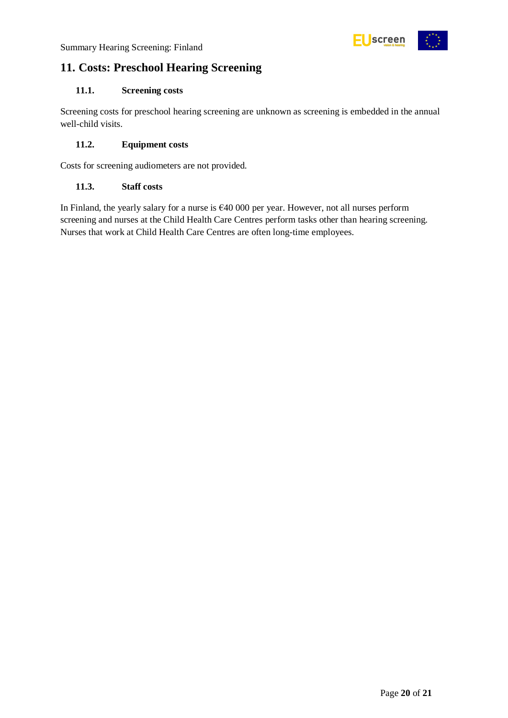

## <span id="page-19-0"></span>**11. Costs: Preschool Hearing Screening**

#### <span id="page-19-1"></span>**11.1. Screening costs**

Screening costs for preschool hearing screening are unknown as screening is embedded in the annual well-child visits.

#### <span id="page-19-2"></span>**11.2. Equipment costs**

Costs for screening audiometers are not provided.

#### <span id="page-19-3"></span>**11.3. Staff costs**

In Finland, the yearly salary for a nurse is €40 000 per year. However, not all nurses perform screening and nurses at the Child Health Care Centres perform tasks other than hearing screening. Nurses that work at Child Health Care Centres are often long-time employees.